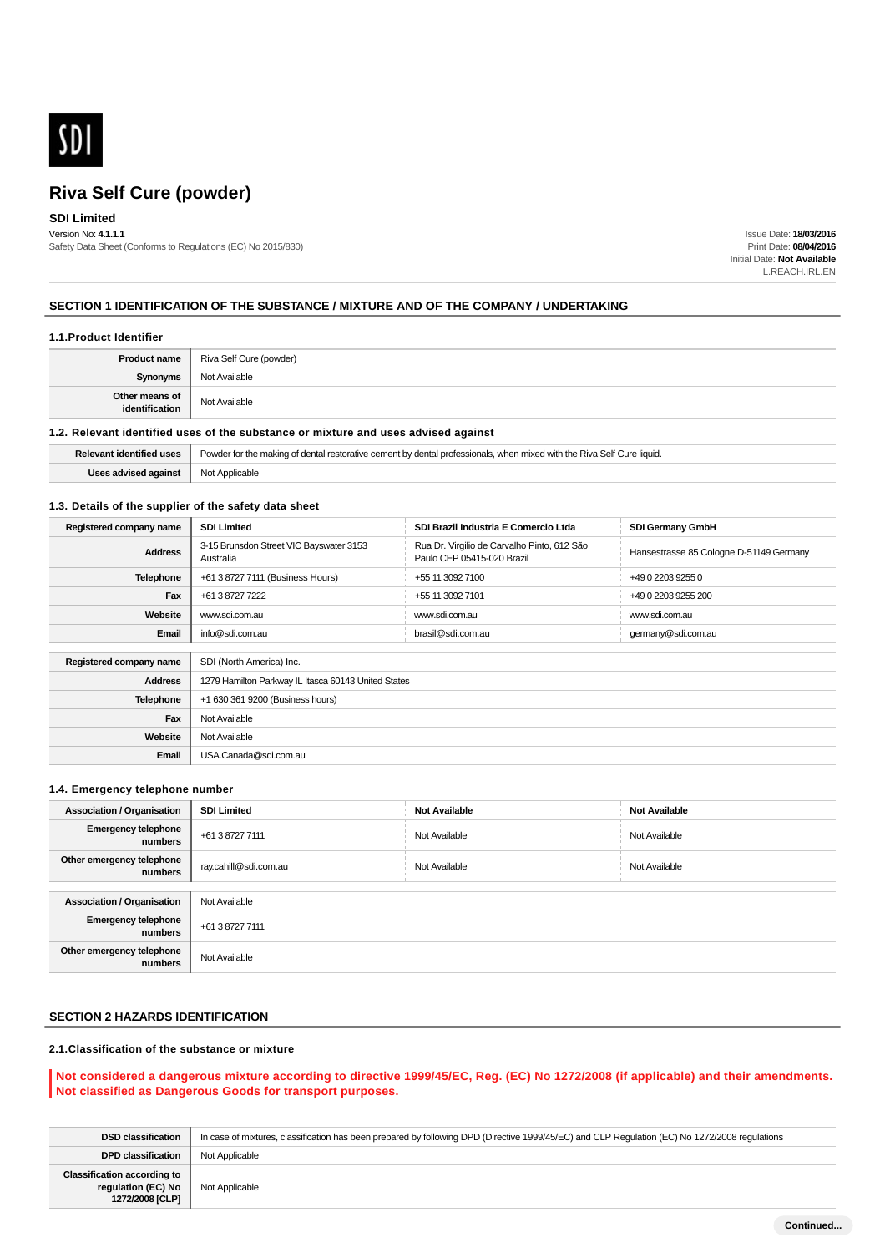

# **SDI Limited**

Version No: **4.1.1.1** Safety Data Sheet (Conforms to Regulations (EC) No 2015/830)

Issue Date: **18/03/2016** Print Date: **08/04/2016** Initial Date: **Not Available** L.REACH.IRL.EN

#### **SECTION 1 IDENTIFICATION OF THE SUBSTANCE / MIXTURE AND OF THE COMPANY / UNDERTAKING**

#### **1.1.Product Identifier**

| <b>Product name</b>              | Riva Self Cure (powder) |  |
|----------------------------------|-------------------------|--|
| <b>Synonyms</b>                  | Not Available           |  |
| Other means of<br>identification | Not Available           |  |

#### **1.2. Relevant identified uses of the substance or mixture and uses advised against**

| Relevant identified uses                               | Powder for the making of dental restorative cement by dental professionals, when mixed with the Riva Self Cure liquid. |
|--------------------------------------------------------|------------------------------------------------------------------------------------------------------------------------|
| <b>Uses advised against</b> $\parallel$ Not Applicable |                                                                                                                        |

#### **1.3. Details of the supplier of the safety data sheet**

| Registered company name | <b>SDI Limited</b>                                   | SDI Brazil Industria E Comercio Ltda                                      | <b>SDI Germany GmbH</b>                 |
|-------------------------|------------------------------------------------------|---------------------------------------------------------------------------|-----------------------------------------|
| <b>Address</b>          | 3-15 Brunsdon Street VIC Bayswater 3153<br>Australia | Rua Dr. Virgilio de Carvalho Pinto, 612 São<br>Paulo CEP 05415-020 Brazil | Hansestrasse 85 Cologne D-51149 Germany |
| <b>Telephone</b>        | +61 3 8727 7111 (Business Hours)                     | +55 11 3092 7100                                                          | +49 0 2203 9255 0                       |
| Fax                     | +61 3 8727 7222                                      | +55 11 3092 7101                                                          | +49 0 2203 9255 200                     |
| Website                 | www.sdi.com.au                                       | www.sdi.com.au                                                            | www.sdi.com.au                          |
| Email                   | info@sdi.com.au                                      | brasil@sdi.com.au                                                         | germany@sdi.com.au                      |
|                         |                                                      |                                                                           |                                         |
| Registered company name | SDI (North America) Inc.                             |                                                                           |                                         |
| <b>Address</b>          | 1279 Hamilton Parkway IL Itasca 60143 United States  |                                                                           |                                         |
| Telephone               | +1 630 361 9200 (Business hours)                     |                                                                           |                                         |
| Fax                     | Not Available                                        |                                                                           |                                         |
| Website                 | Not Available                                        |                                                                           |                                         |
| Email                   | USA.Canada@sdi.com.au                                |                                                                           |                                         |

#### **1.4. Emergency telephone number**

| <b>Association / Organisation</b>     | <b>SDI Limited</b>    | <b>Not Available</b> | <b>Not Available</b> |  |
|---------------------------------------|-----------------------|----------------------|----------------------|--|
| <b>Emergency telephone</b><br>numbers | +61 3 8727 7111       | Not Available        | Not Available        |  |
| Other emergency telephone<br>numbers  | ray.cahill@sdi.com.au | Not Available        | Not Available        |  |
|                                       |                       |                      |                      |  |
| <b>Association / Organisation</b>     | Not Available         |                      |                      |  |
| <b>Emergency telephone</b><br>numbers | +61 3 8727 7111       |                      |                      |  |
| Other emergency telephone<br>numbers  | Not Available         |                      |                      |  |

## **SECTION 2 HAZARDS IDENTIFICATION**

### **2.1.Classification of the substance or mixture**

#### **Not considered a dangerous mixture according to directive 1999/45/EC, Reg. (EC) No 1272/2008 (if applicable) and their amendments. Not classified as Dangerous Goods for transport purposes.**

| <b>DSD classification</b>                                                   | In case of mixtures, classification has been prepared by following DPD (Directive 1999/45/EC) and CLP Requlation (EC) No 1272/2008 requlations |
|-----------------------------------------------------------------------------|------------------------------------------------------------------------------------------------------------------------------------------------|
| <b>DPD classification</b>                                                   | Not Applicable                                                                                                                                 |
| <b>Classification according to</b><br>regulation (EC) No<br>1272/2008 [CLP] | Not Applicable                                                                                                                                 |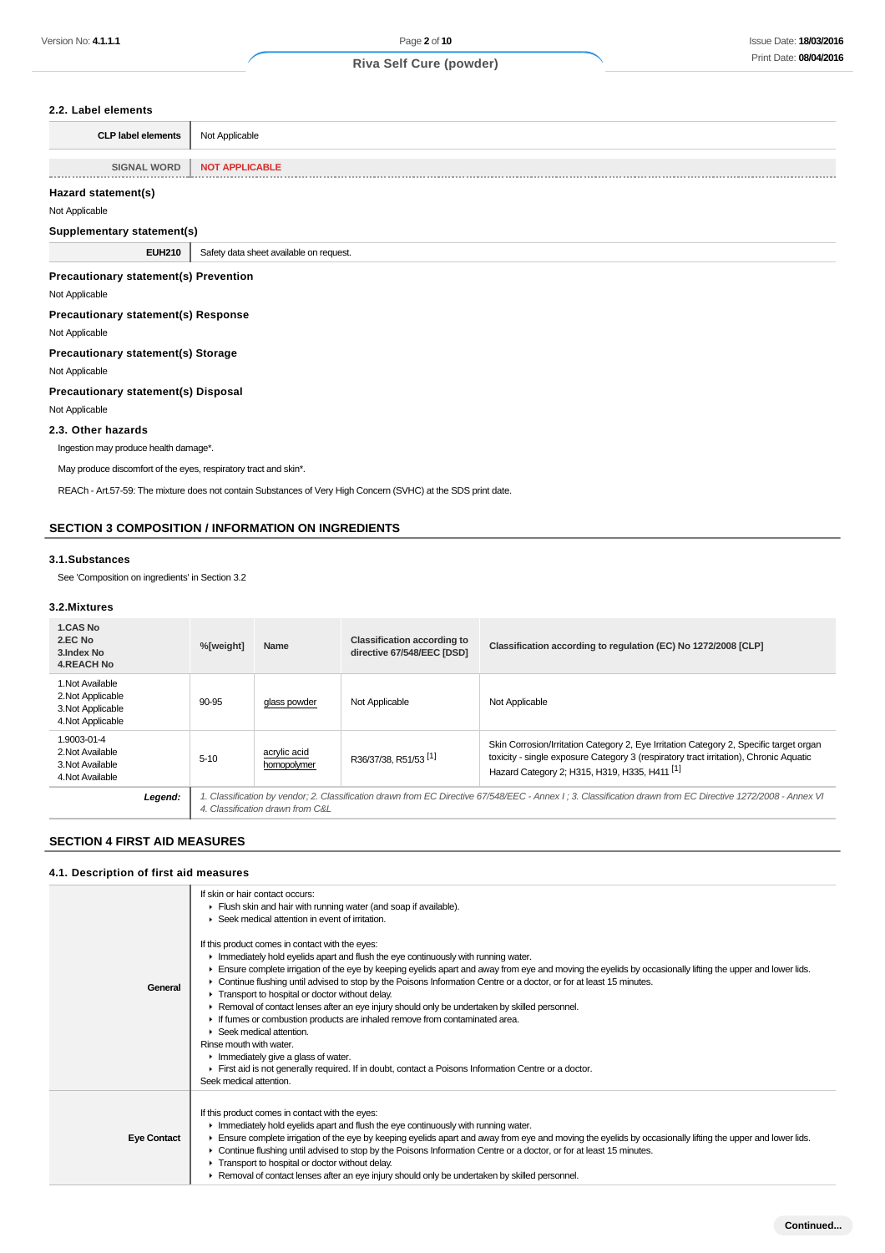#### **2.2. Label elements**

| <b>CLP label elements</b> | Not Applicable        |
|---------------------------|-----------------------|
|                           |                       |
| <b>SIGNAL WORD</b>        | <b>NOT APPLICABLE</b> |
|                           |                       |

### **Hazard statement(s)**

Not Applicable

#### **Supplementary statement(s)**

**EUH210** Safety data sheet available on request.

#### **Precautionary statement(s) Prevention**

Not Applicable

**Precautionary statement(s) Response**

#### Not Applicable

**Precautionary statement(s) Storage**

Not Applicable

#### **Precautionary statement(s) Disposal**

Not Applicable

#### **2.3. Other hazards**

Ingestion may produce health damage\*.

May produce discomfort of the eyes, respiratory tract and skin\*.

REACh - Art.57-59: The mixture does not contain Substances of Very High Concern (SVHC) at the SDS print date.

### **SECTION 3 COMPOSITION / INFORMATION ON INGREDIENTS**

#### **3.1.Substances**

See 'Composition on ingredients' in Section 3.2

#### **3.2.Mixtures**

| 1.CAS No<br>2.EC No<br>3. Index No<br><b>4.REACH No</b>                         | %[weight] | Name                                                                                                                                                                                             | <b>Classification according to</b><br>directive 67/548/EEC [DSD] | Classification according to regulation (EC) No 1272/2008 [CLP]                                                                                                                                                                              |
|---------------------------------------------------------------------------------|-----------|--------------------------------------------------------------------------------------------------------------------------------------------------------------------------------------------------|------------------------------------------------------------------|---------------------------------------------------------------------------------------------------------------------------------------------------------------------------------------------------------------------------------------------|
| 1. Not Available<br>2. Not Applicable<br>3. Not Applicable<br>4. Not Applicable | 90-95     | glass powder                                                                                                                                                                                     | Not Applicable                                                   | Not Applicable                                                                                                                                                                                                                              |
| 1.9003-01-4<br>2. Not Available<br>3. Not Available<br>4. Not Available         | $5 - 10$  | acrylic acid<br>homopolymer                                                                                                                                                                      | R36/37/38, R51/53 <sup>[1]</sup>                                 | Skin Corrosion/Irritation Category 2, Eye Irritation Category 2, Specific target organ<br>toxicity - single exposure Category 3 (respiratory tract irritation), Chronic Aquatic<br>Hazard Category 2; H315, H319, H335, H411 <sup>[1]</sup> |
| Legend:                                                                         |           | 1. Classification by vendor; 2. Classification drawn from EC Directive 67/548/EEC - Annex I ; 3. Classification drawn from EC Directive 1272/2008 - Annex VI<br>4. Classification drawn from C&L |                                                                  |                                                                                                                                                                                                                                             |

## **SECTION 4 FIRST AID MEASURES**

### **4.1. Description of first aid measures**

|                    | If skin or hair contact occurs:                                                                                                                                                                                                                                                                                                                                                                                                                                                                                                                                                                                                                                                                                                                                                                                                                                                                                                                         |
|--------------------|---------------------------------------------------------------------------------------------------------------------------------------------------------------------------------------------------------------------------------------------------------------------------------------------------------------------------------------------------------------------------------------------------------------------------------------------------------------------------------------------------------------------------------------------------------------------------------------------------------------------------------------------------------------------------------------------------------------------------------------------------------------------------------------------------------------------------------------------------------------------------------------------------------------------------------------------------------|
|                    | Flush skin and hair with running water (and soap if available).                                                                                                                                                                                                                                                                                                                                                                                                                                                                                                                                                                                                                                                                                                                                                                                                                                                                                         |
|                    | ▶ Seek medical attention in event of irritation.                                                                                                                                                                                                                                                                                                                                                                                                                                                                                                                                                                                                                                                                                                                                                                                                                                                                                                        |
| General            | If this product comes in contact with the eyes:<br>$\blacktriangleright$ Immediately hold eyelids apart and flush the eye continuously with running water.<br>Ensure complete irrigation of the eye by keeping eyelids apart and away from eye and moving the eyelids by occasionally lifting the upper and lower lids.<br>► Continue flushing until advised to stop by the Poisons Information Centre or a doctor, or for at least 15 minutes.<br>Transport to hospital or doctor without delay.<br>► Removal of contact lenses after an eye injury should only be undertaken by skilled personnel.<br>If fumes or combustion products are inhaled remove from contaminated area.<br>$\triangleright$ Seek medical attention.<br>Rinse mouth with water.<br>$\blacktriangleright$ Immediately give a glass of water.<br>First aid is not generally required. If in doubt, contact a Poisons Information Centre or a doctor.<br>Seek medical attention. |
| <b>Eye Contact</b> | If this product comes in contact with the eyes:<br>In Immediately hold eyelids apart and flush the eye continuously with running water.<br>Ensure complete irrigation of the eye by keeping eyelids apart and away from eye and moving the eyelids by occasionally lifting the upper and lower lids.<br>• Continue flushing until advised to stop by the Poisons Information Centre or a doctor, or for at least 15 minutes.<br>Transport to hospital or doctor without delay.<br>► Removal of contact lenses after an eye injury should only be undertaken by skilled personnel.                                                                                                                                                                                                                                                                                                                                                                       |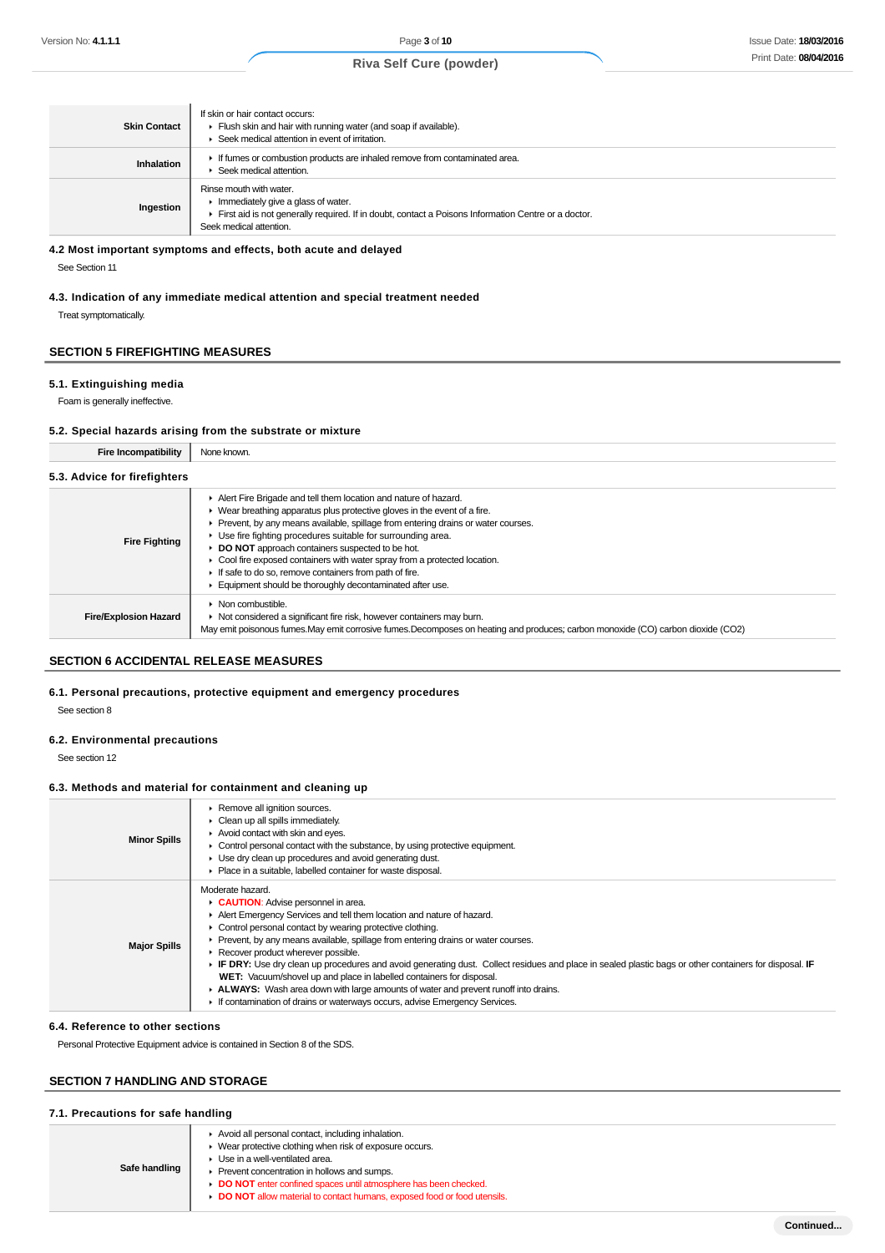| <b>Skin Contact</b> | If skin or hair contact occurs:<br>Flush skin and hair with running water (and soap if available).<br>Seek medical attention in event of irritation.                                                                  |
|---------------------|-----------------------------------------------------------------------------------------------------------------------------------------------------------------------------------------------------------------------|
| <b>Inhalation</b>   | If fumes or combustion products are inhaled remove from contaminated area.<br>▶ Seek medical attention.                                                                                                               |
| Ingestion           | Rinse mouth with water.<br>$\blacktriangleright$ Immediately give a glass of water.<br>First aid is not generally required. If in doubt, contact a Poisons Information Centre or a doctor.<br>Seek medical attention. |

#### **4.2 Most important symptoms and effects, both acute and delayed**

See Section 11

### **4.3. Indication of any immediate medical attention and special treatment needed** Treat symptomatically.

## **SECTION 5 FIREFIGHTING MEASURES**

### **5.1. Extinguishing media**

Foam is generally ineffective.

### **5.2. Special hazards arising from the substrate or mixture**

| <b>Fire Incompatibility</b>  | None known.                                                                                                                                                                                                                                                                                                                                                                                                                                                                                                                                                   |  |  |
|------------------------------|---------------------------------------------------------------------------------------------------------------------------------------------------------------------------------------------------------------------------------------------------------------------------------------------------------------------------------------------------------------------------------------------------------------------------------------------------------------------------------------------------------------------------------------------------------------|--|--|
| 5.3. Advice for firefighters |                                                                                                                                                                                                                                                                                                                                                                                                                                                                                                                                                               |  |  |
| <b>Fire Fighting</b>         | Alert Fire Brigade and tell them location and nature of hazard.<br>▶ Wear breathing apparatus plus protective gloves in the event of a fire.<br>Prevent, by any means available, spillage from entering drains or water courses.<br>▶ Use fire fighting procedures suitable for surrounding area.<br><b>DO NOT</b> approach containers suspected to be hot.<br>Cool fire exposed containers with water spray from a protected location.<br>If safe to do so, remove containers from path of fire.<br>Equipment should be thoroughly decontaminated after use. |  |  |
| <b>Fire/Explosion Hazard</b> | $\triangleright$ Non combustible.<br>• Not considered a significant fire risk, however containers may burn.<br>May emit poisonous fumes. May emit corrosive fumes. Decomposes on heating and produces; carbon monoxide (CO) carbon dioxide (CO2)                                                                                                                                                                                                                                                                                                              |  |  |

#### **SECTION 6 ACCIDENTAL RELEASE MEASURES**

#### **6.1. Personal precautions, protective equipment and emergency procedures**

See section 8

### **6.2. Environmental precautions**

See section 12

#### **6.3. Methods and material for containment and cleaning up**

| <b>Minor Spills</b> | Remove all ignition sources.<br>Clean up all spills immediately.<br>$\blacktriangleright$ Avoid contact with skin and eyes.<br>Control personal contact with the substance, by using protective equipment.<br>• Use dry clean up procedures and avoid generating dust.<br>Place in a suitable, labelled container for waste disposal.                                                                                                                                                                                                                                                                                                                                                                                        |
|---------------------|------------------------------------------------------------------------------------------------------------------------------------------------------------------------------------------------------------------------------------------------------------------------------------------------------------------------------------------------------------------------------------------------------------------------------------------------------------------------------------------------------------------------------------------------------------------------------------------------------------------------------------------------------------------------------------------------------------------------------|
| <b>Major Spills</b> | Moderate hazard.<br>CAUTION: Advise personnel in area.<br>Alert Emergency Services and tell them location and nature of hazard.<br>Control personal contact by wearing protective clothing.<br>Prevent, by any means available, spillage from entering drains or water courses.<br>Recover product wherever possible.<br>► IF DRY: Use dry clean up procedures and avoid generating dust. Collect residues and place in sealed plastic bags or other containers for disposal. IF<br>WET: Vacuum/shovel up and place in labelled containers for disposal.<br>ALWAYS: Wash area down with large amounts of water and prevent runoff into drains.<br>If contamination of drains or waterways occurs, advise Emergency Services. |

#### **6.4. Reference to other sections**

Personal Protective Equipment advice is contained in Section 8 of the SDS.

### **SECTION 7 HANDLING AND STORAGE**

#### **7.1. Precautions for safe handling**

| Safe handling | Avoid all personal contact, including inhalation.<br>► Wear protective clothing when risk of exposure occurs.<br>▶ Use in a well-ventilated area.<br>Prevent concentration in hollows and sumps.<br>DO NOT enter confined spaces until atmosphere has been checked.<br>DO NOT allow material to contact humans, exposed food or food utensils. |
|---------------|------------------------------------------------------------------------------------------------------------------------------------------------------------------------------------------------------------------------------------------------------------------------------------------------------------------------------------------------|
|               |                                                                                                                                                                                                                                                                                                                                                |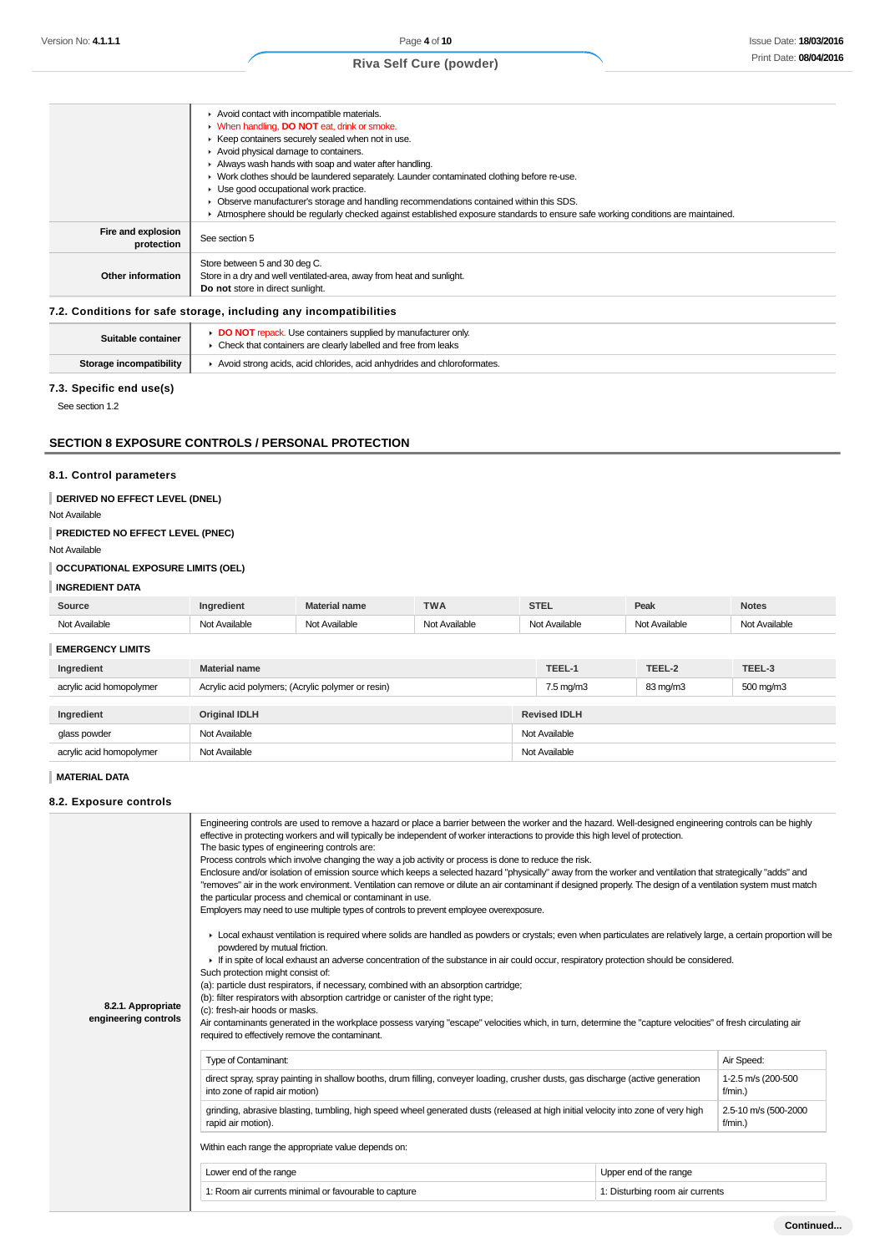|                                  | Avoid contact with incompatible materials.                                                                                      |
|----------------------------------|---------------------------------------------------------------------------------------------------------------------------------|
|                                  | • When handling, DO NOT eat, drink or smoke.                                                                                    |
|                                  | ▶ Keep containers securely sealed when not in use.                                                                              |
|                                  | Avoid physical damage to containers.                                                                                            |
|                                  | Always wash hands with soap and water after handling.                                                                           |
|                                  | • Work clothes should be laundered separately. Launder contaminated clothing before re-use.                                     |
|                                  | $\blacktriangleright$ Use good occupational work practice.                                                                      |
|                                  | Observe manufacturer's storage and handling recommendations contained within this SDS.                                          |
|                                  | Atmosphere should be reqularly checked against established exposure standards to ensure safe working conditions are maintained. |
| Fire and explosion<br>protection | See section 5                                                                                                                   |
|                                  | Store between 5 and 30 deg C.                                                                                                   |
| <b>Other information</b>         | Store in a dry and well ventilated-area, away from heat and sunlight.                                                           |
|                                  | Do not store in direct sunlight.                                                                                                |
|                                  | 7.2. Conditions for safe storage, including any incompatibilities                                                               |
| Suitable container               | DO NOT repack. Use containers supplied by manufacturer only.                                                                    |

Check that containers are clearly labelled and free from leaks

**Storage incompatibility**  $\parallel$   $\rightarrow$  Avoid strong acids, acid chlorides, acid anhydrides and chloroformates.

# **7.3. Specific end use(s)**

See section 1.2

# **SECTION 8 EXPOSURE CONTROLS / PERSONAL PROTECTION**

#### **8.1. Control parameters**

# **DERIVED NO EFFECT LEVEL (DNEL)**

Not Available

### **PREDICTED NO EFFECT LEVEL (PNEC)**

Not Available

### **OCCUPATIONAL EXPOSURE LIMITS (OEL)**

### **INGREDIENT DATA**

| Source               |   | name | $\overline{\phantom{a}}$<br><b>VVM</b><br>. | <b>---</b> | Peak | <b>Notes</b>          |
|----------------------|---|------|---------------------------------------------|------------|------|-----------------------|
| ி∩†<br>$\cdots$<br>. | . | .    | .                                           |            | .    | <b>N<sub>IC</sub></b> |

#### **EMERGENCY LIMITS**

| EMERGENCI LIMITO              |                                                   |               |                      |          |           |
|-------------------------------|---------------------------------------------------|---------------|----------------------|----------|-----------|
| Ingredient                    | <b>Material name</b>                              |               | TEEL-1               | TEEL-2   | TEEL-3    |
| acrylic acid homopolymer      | Acrylic acid polymers; (Acrylic polymer or resin) |               | $7.5 \text{ mg/m}$ 3 | 83 mg/m3 | 500 mg/m3 |
|                               |                                                   |               |                      |          |           |
| Ingredient                    | <b>Original IDLH</b>                              |               | <b>Revised IDLH</b>  |          |           |
| Not Available<br>glass powder |                                                   | Not Available |                      |          |           |
| acrylic acid homopolymer      | Not Available                                     |               | Not Available        |          |           |

#### **MATERIAL DATA**

#### **8.2. Exposure controls**

| 8.2.1. Appropriate<br>engineering controls | Engineering controls are used to remove a hazard or place a barrier between the worker and the hazard. Well-designed engineering controls can be highly<br>effective in protecting workers and will typically be independent of worker interactions to provide this high level of protection.<br>The basic types of engineering controls are:<br>Process controls which involve changing the way a job activity or process is done to reduce the risk.<br>Enclosure and/or isolation of emission source which keeps a selected hazard "physically" away from the worker and ventilation that strategically "adds" and<br>"removes" air in the work environment. Ventilation can remove or dilute an air contaminant if designed properly. The design of a ventilation system must match<br>the particular process and chemical or contaminant in use.<br>Employers may need to use multiple types of controls to prevent employee overexposure.<br>▶ Local exhaust ventilation is required where solids are handled as powders or crystals; even when particulates are relatively large, a certain proportion will be<br>powdered by mutual friction.<br>• If in spite of local exhaust an adverse concentration of the substance in air could occur, respiratory protection should be considered.<br>Such protection might consist of:<br>(a): particle dust respirators, if necessary, combined with an absorption cartridge;<br>(b): filter respirators with absorption cartridge or canister of the right type;<br>(c): fresh-air hoods or masks.<br>Air contaminants generated in the workplace possess varying "escape" velocities which, in turn, determine the "capture velocities" of fresh circulating air<br>required to effectively remove the contaminant. |                        |            |  |  |
|--------------------------------------------|-------------------------------------------------------------------------------------------------------------------------------------------------------------------------------------------------------------------------------------------------------------------------------------------------------------------------------------------------------------------------------------------------------------------------------------------------------------------------------------------------------------------------------------------------------------------------------------------------------------------------------------------------------------------------------------------------------------------------------------------------------------------------------------------------------------------------------------------------------------------------------------------------------------------------------------------------------------------------------------------------------------------------------------------------------------------------------------------------------------------------------------------------------------------------------------------------------------------------------------------------------------------------------------------------------------------------------------------------------------------------------------------------------------------------------------------------------------------------------------------------------------------------------------------------------------------------------------------------------------------------------------------------------------------------------------------------------------------------------------------------------------------------|------------------------|------------|--|--|
|                                            | <b>Type of Contaminant:</b>                                                                                                                                                                                                                                                                                                                                                                                                                                                                                                                                                                                                                                                                                                                                                                                                                                                                                                                                                                                                                                                                                                                                                                                                                                                                                                                                                                                                                                                                                                                                                                                                                                                                                                                                             |                        | Air Speed: |  |  |
|                                            | direct spray, spray painting in shallow booths, drum filling, conveyer loading, crusher dusts, gas discharge (active generation<br>1-2.5 m/s (200-500<br>into zone of rapid air motion)<br>$f/min.$ )                                                                                                                                                                                                                                                                                                                                                                                                                                                                                                                                                                                                                                                                                                                                                                                                                                                                                                                                                                                                                                                                                                                                                                                                                                                                                                                                                                                                                                                                                                                                                                   |                        |            |  |  |
|                                            | grinding, abrasive blasting, tumbling, high speed wheel generated dusts (released at high initial velocity into zone of very high<br>2.5-10 m/s (500-2000<br>$f/min.$ )<br>rapid air motion).                                                                                                                                                                                                                                                                                                                                                                                                                                                                                                                                                                                                                                                                                                                                                                                                                                                                                                                                                                                                                                                                                                                                                                                                                                                                                                                                                                                                                                                                                                                                                                           |                        |            |  |  |
|                                            |                                                                                                                                                                                                                                                                                                                                                                                                                                                                                                                                                                                                                                                                                                                                                                                                                                                                                                                                                                                                                                                                                                                                                                                                                                                                                                                                                                                                                                                                                                                                                                                                                                                                                                                                                                         |                        |            |  |  |
|                                            | Within each range the appropriate value depends on:                                                                                                                                                                                                                                                                                                                                                                                                                                                                                                                                                                                                                                                                                                                                                                                                                                                                                                                                                                                                                                                                                                                                                                                                                                                                                                                                                                                                                                                                                                                                                                                                                                                                                                                     |                        |            |  |  |
|                                            | Lower end of the range                                                                                                                                                                                                                                                                                                                                                                                                                                                                                                                                                                                                                                                                                                                                                                                                                                                                                                                                                                                                                                                                                                                                                                                                                                                                                                                                                                                                                                                                                                                                                                                                                                                                                                                                                  | Upper end of the range |            |  |  |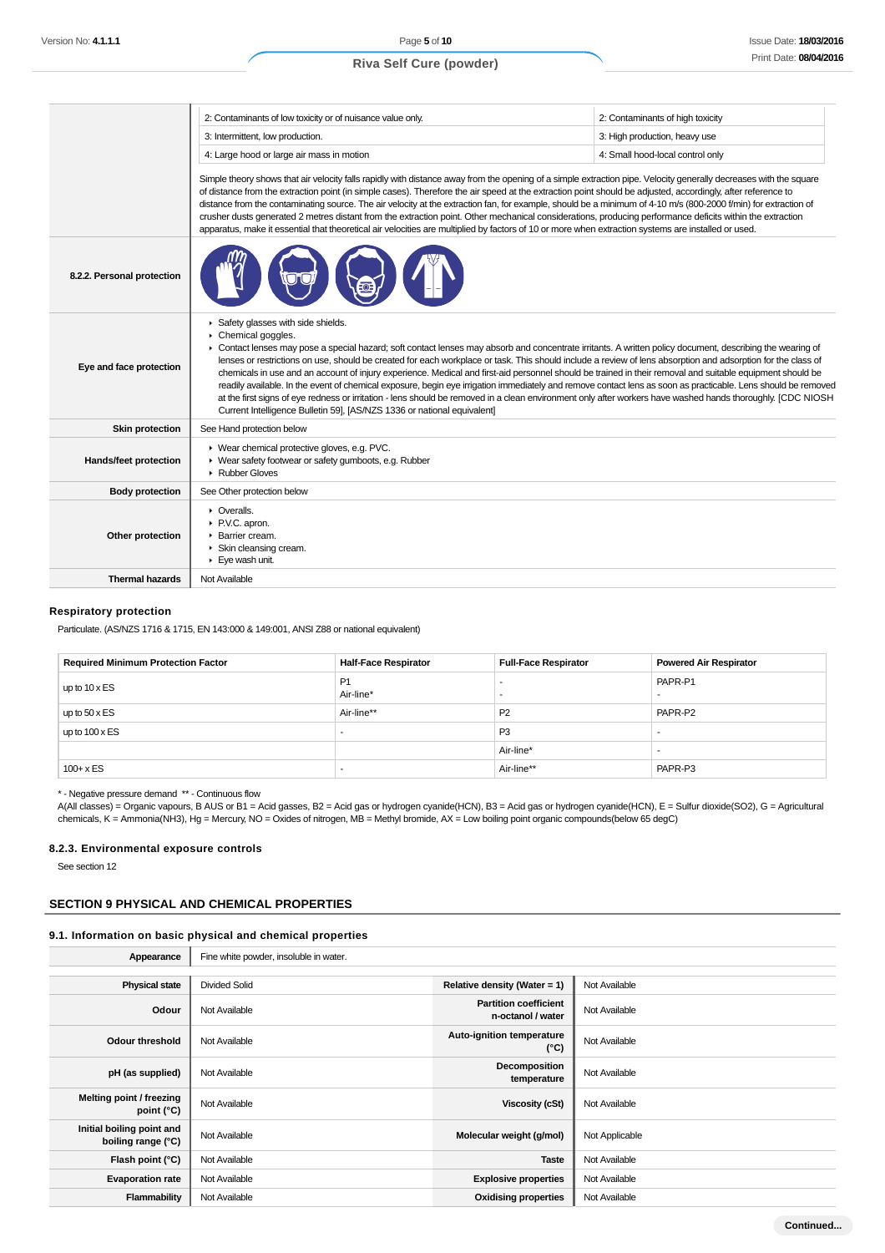$\mathbf{L}$ 

## **Riva Self Cure (powder)**

|                            | 2: Contaminants of low toxicity or of nuisance value only.                                                                                                                                                                                                                                                                                                                                                                                                                                                                                                                                                                                                                                                                                                                                                                                                                        | 2: Contaminants of high toxicity |  |  |  |
|----------------------------|-----------------------------------------------------------------------------------------------------------------------------------------------------------------------------------------------------------------------------------------------------------------------------------------------------------------------------------------------------------------------------------------------------------------------------------------------------------------------------------------------------------------------------------------------------------------------------------------------------------------------------------------------------------------------------------------------------------------------------------------------------------------------------------------------------------------------------------------------------------------------------------|----------------------------------|--|--|--|
|                            | 3: Intermittent, low production.                                                                                                                                                                                                                                                                                                                                                                                                                                                                                                                                                                                                                                                                                                                                                                                                                                                  | 3: High production, heavy use    |  |  |  |
|                            | 4: Large hood or large air mass in motion                                                                                                                                                                                                                                                                                                                                                                                                                                                                                                                                                                                                                                                                                                                                                                                                                                         | 4: Small hood-local control only |  |  |  |
|                            | Simple theory shows that air velocity falls rapidly with distance away from the opening of a simple extraction pipe. Velocity generally decreases with the square<br>of distance from the extraction point (in simple cases). Therefore the air speed at the extraction point should be adjusted, accordingly, after reference to<br>distance from the contaminating source. The air velocity at the extraction fan, for example, should be a minimum of 4-10 m/s (800-2000 f/min) for extraction of<br>crusher dusts generated 2 metres distant from the extraction point. Other mechanical considerations, producing performance deficits within the extraction<br>apparatus, make it essential that theoretical air velocities are multiplied by factors of 10 or more when extraction systems are installed or used.                                                          |                                  |  |  |  |
| 8.2.2. Personal protection |                                                                                                                                                                                                                                                                                                                                                                                                                                                                                                                                                                                                                                                                                                                                                                                                                                                                                   |                                  |  |  |  |
| Eye and face protection    | Safety glasses with side shields.<br>Chemical goggles.<br>• Contact lenses may pose a special hazard; soft contact lenses may absorb and concentrate irritants. A written policy document, describing the wearing of<br>lenses or restrictions on use, should be created for each workplace or task. This should include a review of lens absorption and adsorption for the class of<br>chemicals in use and an account of injury experience. Medical and first-aid personnel should be trained in their removal and suitable equipment should be<br>readily available. In the event of chemical exposure, begin eye irrigation immediately and remove contact lens as soon as practicable. Lens should be removed<br>at the first signs of eye redness or irritation - lens should be removed in a clean environment only after workers have washed hands thoroughly. [CDC NIOSH |                                  |  |  |  |
|                            | Current Intelligence Bulletin 59], [AS/NZS 1336 or national equivalent]                                                                                                                                                                                                                                                                                                                                                                                                                                                                                                                                                                                                                                                                                                                                                                                                           |                                  |  |  |  |
| <b>Skin protection</b>     | See Hand protection below                                                                                                                                                                                                                                                                                                                                                                                                                                                                                                                                                                                                                                                                                                                                                                                                                                                         |                                  |  |  |  |
| Hands/feet protection      | ▶ Wear chemical protective gloves, e.g. PVC.<br>▶ Wear safety footwear or safety gumboots, e.g. Rubber<br>Rubber Gloves                                                                                                                                                                                                                                                                                                                                                                                                                                                                                                                                                                                                                                                                                                                                                           |                                  |  |  |  |
| <b>Body protection</b>     | See Other protection below                                                                                                                                                                                                                                                                                                                                                                                                                                                                                                                                                                                                                                                                                                                                                                                                                                                        |                                  |  |  |  |
| Other protection           | • Overalls.<br>P.V.C. apron.<br>Barrier cream.<br>Skin cleansing cream.<br>$\blacktriangleright$ Eye wash unit.                                                                                                                                                                                                                                                                                                                                                                                                                                                                                                                                                                                                                                                                                                                                                                   |                                  |  |  |  |

### **Respiratory protection**

Particulate. (AS/NZS 1716 & 1715, EN 143:000 & 149:001, ANSI Z88 or national equivalent)

| <b>Required Minimum Protection Factor</b> | <b>Half-Face Respirator</b> | <b>Full-Face Respirator</b> | <b>Powered Air Respirator</b> |
|-------------------------------------------|-----------------------------|-----------------------------|-------------------------------|
| up to $10 \times ES$                      | P <sub>1</sub><br>Air-line* |                             | PAPR-P1                       |
| up to $50 \times ES$                      | Air-line**                  | P <sub>2</sub>              | PAPR-P2                       |
| up to $100 \times ES$                     |                             | P <sub>3</sub>              |                               |
|                                           |                             | Air-line*                   |                               |
| $100 + x ES$                              |                             | Air-line**                  | PAPR-P3                       |

\* - Negative pressure demand \*\* - Continuous flow

A(All classes) = Organic vapours, B AUS or B1 = Acid gasses, B2 = Acid gas or hydrogen cyanide(HCN), B3 = Acid gas or hydrogen cyanide(HCN), E = Sulfur dioxide(SO2), G = Agricultural chemicals, K = Ammonia(NH3), Hg = Mercury, NO = Oxides of nitrogen, MB = Methyl bromide, AX = Low boiling point organic compounds(below 65 degC)

#### **8.2.3. Environmental exposure controls**

See section 12

## **SECTION 9 PHYSICAL AND CHEMICAL PROPERTIES**

### **9.1. Information on basic physical and chemical properties**

| Appearance |  | Fine white powder, insoluble in water. |
|------------|--|----------------------------------------|
|------------|--|----------------------------------------|

| <b>Physical state</b>                           | <b>Divided Solid</b> | Relative density (Water = 1)                      | Not Available  |
|-------------------------------------------------|----------------------|---------------------------------------------------|----------------|
| Odour                                           | Not Available        | <b>Partition coefficient</b><br>n-octanol / water | Not Available  |
| Odour threshold                                 | Not Available        | Auto-ignition temperature<br>$(^{\circ}C)$        | Not Available  |
| pH (as supplied)                                | Not Available        | Decomposition<br>temperature                      | Not Available  |
| Melting point / freezing<br>point $(^{\circ}C)$ | Not Available        | Viscosity (cSt)                                   | Not Available  |
| Initial boiling point and<br>boiling range (°C) | Not Available        | Molecular weight (g/mol)                          | Not Applicable |
| Flash point (°C)                                | Not Available        | <b>Taste</b>                                      | Not Available  |
| <b>Evaporation rate</b>                         | Not Available        | <b>Explosive properties</b>                       | Not Available  |
| Flammability                                    | Not Available        | <b>Oxidising properties</b>                       | Not Available  |
|                                                 |                      |                                                   |                |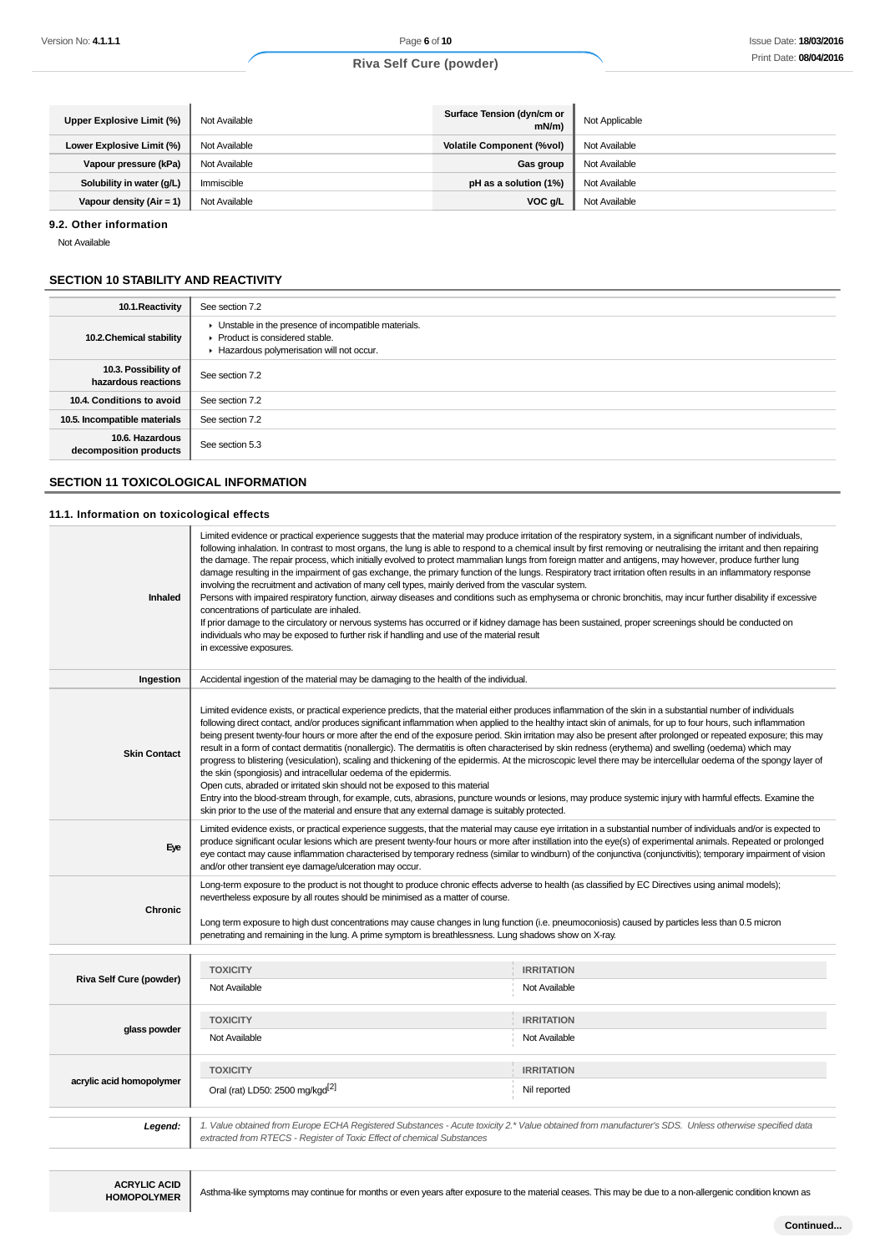| Upper Explosive Limit (%)   | Not Available | Surface Tension (dyn/cm or<br>mN/m | Not Applicable |
|-----------------------------|---------------|------------------------------------|----------------|
| Lower Explosive Limit (%)   | Not Available | <b>Volatile Component (%vol)</b>   | Not Available  |
| Vapour pressure (kPa)       | Not Available | Gas group                          | Not Available  |
| Solubility in water (g/L)   | Immiscible    | pH as a solution (1%)              | Not Available  |
| Vapour density (Air = $1$ ) | Not Available | VOC g/L                            | Not Available  |

#### **9.2. Other information**

Not Available

#### **SECTION 10 STABILITY AND REACTIVITY**

| 10.1. Reactivity                            | See section 7.2                                                                                                                    |
|---------------------------------------------|------------------------------------------------------------------------------------------------------------------------------------|
| 10.2. Chemical stability                    | Unstable in the presence of incompatible materials.<br>▶ Product is considered stable.<br>Hazardous polymerisation will not occur. |
| 10.3. Possibility of<br>hazardous reactions | See section 7.2                                                                                                                    |
| 10.4. Conditions to avoid                   | See section 7.2                                                                                                                    |
| 10.5. Incompatible materials                | See section 7.2                                                                                                                    |
| 10.6. Hazardous<br>decomposition products   | See section 5.3                                                                                                                    |

# **SECTION 11 TOXICOLOGICAL INFORMATION**

#### **11.1. Information on toxicological effects**

| Inhaled                  | Limited evidence or practical experience suggests that the material may produce irritation of the respiratory system, in a significant number of individuals,<br>following inhalation. In contrast to most organs, the lung is able to respond to a chemical insult by first removing or neutralising the irritant and then repairing<br>the damage. The repair process, which initially evolved to protect mammalian lungs from foreign matter and antigens, may however, produce further lung<br>damage resulting in the impairment of gas exchange, the primary function of the lungs. Respiratory tract irritation often results in an inflammatory response<br>involving the recruitment and activation of many cell types, mainly derived from the vascular system.<br>Persons with impaired respiratory function, airway diseases and conditions such as emphysema or chronic bronchitis, may incur further disability if excessive<br>concentrations of particulate are inhaled.<br>If prior damage to the circulatory or nervous systems has occurred or if kidney damage has been sustained, proper screenings should be conducted on<br>individuals who may be exposed to further risk if handling and use of the material result<br>in excessive exposures. |                                                                                                                                                       |  |
|--------------------------|-------------------------------------------------------------------------------------------------------------------------------------------------------------------------------------------------------------------------------------------------------------------------------------------------------------------------------------------------------------------------------------------------------------------------------------------------------------------------------------------------------------------------------------------------------------------------------------------------------------------------------------------------------------------------------------------------------------------------------------------------------------------------------------------------------------------------------------------------------------------------------------------------------------------------------------------------------------------------------------------------------------------------------------------------------------------------------------------------------------------------------------------------------------------------------------------------------------------------------------------------------------------------|-------------------------------------------------------------------------------------------------------------------------------------------------------|--|
| Ingestion                | Accidental ingestion of the material may be damaging to the health of the individual.                                                                                                                                                                                                                                                                                                                                                                                                                                                                                                                                                                                                                                                                                                                                                                                                                                                                                                                                                                                                                                                                                                                                                                                   |                                                                                                                                                       |  |
| <b>Skin Contact</b>      | Limited evidence exists, or practical experience predicts, that the material either produces inflammation of the skin in a substantial number of individuals<br>following direct contact, and/or produces significant inflammation when applied to the healthy intact skin of animals, for up to four hours, such inflammation<br>being present twenty-four hours or more after the end of the exposure period. Skin irritation may also be present after prolonged or repeated exposure; this may<br>result in a form of contact dermatitis (nonallergic). The dermatitis is often characterised by skin redness (erythema) and swelling (oedema) which may<br>progress to blistering (vesiculation), scaling and thickening of the epidermis. At the microscopic level there may be intercellular oedema of the spongy layer of<br>the skin (spongiosis) and intracellular oedema of the epidermis.<br>Open cuts, abraded or irritated skin should not be exposed to this material<br>Entry into the blood-stream through, for example, cuts, abrasions, puncture wounds or lesions, may produce systemic injury with harmful effects. Examine the<br>skin prior to the use of the material and ensure that any external damage is suitably protected.                |                                                                                                                                                       |  |
| Eye                      | Limited evidence exists, or practical experience suggests, that the material may cause eye irritation in a substantial number of individuals and/or is expected to<br>produce significant ocular lesions which are present twenty-four hours or more after instillation into the eye(s) of experimental animals. Repeated or prolonged<br>eye contact may cause inflammation characterised by temporary redness (similar to windburn) of the conjunctiva (conjunctivitis); temporary impairment of vision<br>and/or other transient eye damage/ulceration may occur.                                                                                                                                                                                                                                                                                                                                                                                                                                                                                                                                                                                                                                                                                                    |                                                                                                                                                       |  |
| Chronic                  | Long-term exposure to the product is not thought to produce chronic effects adverse to health (as classified by EC Directives using animal models);<br>nevertheless exposure by all routes should be minimised as a matter of course.<br>Long term exposure to high dust concentrations may cause changes in lung function (i.e. pneumoconiosis) caused by particles less than 0.5 micron<br>penetrating and remaining in the lung. A prime symptom is breathlessness. Lung shadows show on X-ray.                                                                                                                                                                                                                                                                                                                                                                                                                                                                                                                                                                                                                                                                                                                                                                      |                                                                                                                                                       |  |
|                          | <b>TOXICITY</b>                                                                                                                                                                                                                                                                                                                                                                                                                                                                                                                                                                                                                                                                                                                                                                                                                                                                                                                                                                                                                                                                                                                                                                                                                                                         | <b>IRRITATION</b>                                                                                                                                     |  |
| Riva Self Cure (powder)  | Not Available                                                                                                                                                                                                                                                                                                                                                                                                                                                                                                                                                                                                                                                                                                                                                                                                                                                                                                                                                                                                                                                                                                                                                                                                                                                           | Not Available                                                                                                                                         |  |
| glass powder             | <b>TOXICITY</b><br>Not Available                                                                                                                                                                                                                                                                                                                                                                                                                                                                                                                                                                                                                                                                                                                                                                                                                                                                                                                                                                                                                                                                                                                                                                                                                                        | <b>IRRITATION</b><br>Not Available                                                                                                                    |  |
| acrylic acid homopolymer | <b>TOXICITY</b><br>Oral (rat) LD50: 2500 mg/kgd <sup>[2]</sup>                                                                                                                                                                                                                                                                                                                                                                                                                                                                                                                                                                                                                                                                                                                                                                                                                                                                                                                                                                                                                                                                                                                                                                                                          | <b>IRRITATION</b><br>Nil reported                                                                                                                     |  |
| Legend:                  | extracted from RTECS - Register of Toxic Effect of chemical Substances                                                                                                                                                                                                                                                                                                                                                                                                                                                                                                                                                                                                                                                                                                                                                                                                                                                                                                                                                                                                                                                                                                                                                                                                  | 1. Value obtained from Europe ECHA Registered Substances - Acute toxicity 2.* Value obtained from manufacturer's SDS. Unless otherwise specified data |  |

Asthma-like symptoms may continue for months or even years after exposure to the material ceases. This may be due to a non-allergenic condition known as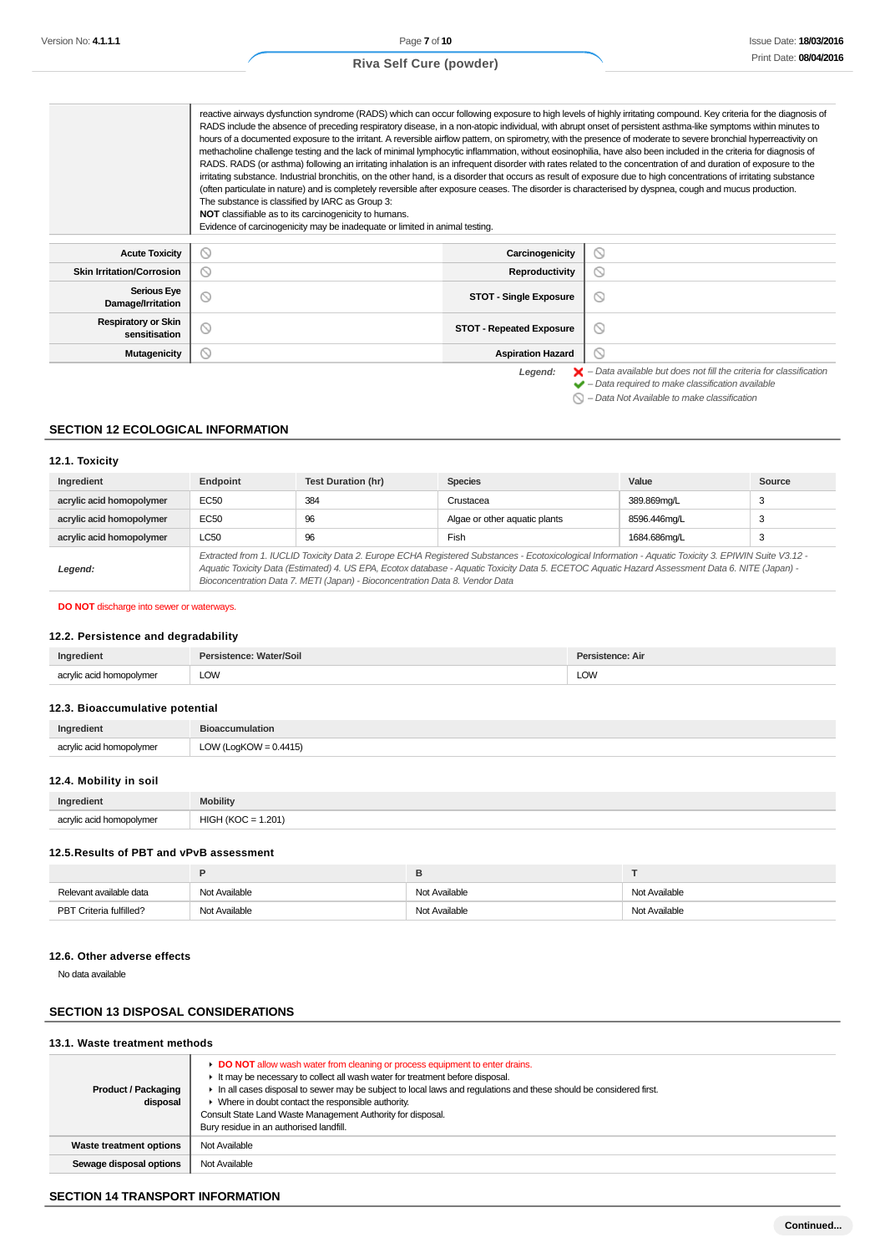|                                             | RADS include the absence of preceding respiratory disease, in a non-atopic individual, with abrupt onset of persistent asthma-like symptoms within minutes to<br>hours of a documented exposure to the irritant. A reversible airflow pattern, on spirometry, with the presence of moderate to severe bronchial hyperreactivity on<br>methacholine challenge testing and the lack of minimal lymphocytic inflammation, without eosinophilia, have also been included in the criteria for diagnosis of<br>RADS. RADS (or asthma) following an irritating inhalation is an infrequent disorder with rates related to the concentration of and duration of exposure to the<br>irritating substance. Industrial bronchitis, on the other hand, is a disorder that occurs as result of exposure due to high concentrations of irritating substance<br>(often particulate in nature) and is completely reversible after exposure ceases. The disorder is characterised by dyspnea, cough and mucus production.<br>The substance is classified by IARC as Group 3:<br>NOT classifiable as to its carcinogenicity to humans.<br>Evidence of carcinogenicity may be inadequate or limited in animal testing. |                                 | reactive airways dysfunction syndrome (RADS) which can occur following exposure to high levels of highly irritating compound. Key criteria for the diagnosis of    |
|---------------------------------------------|-----------------------------------------------------------------------------------------------------------------------------------------------------------------------------------------------------------------------------------------------------------------------------------------------------------------------------------------------------------------------------------------------------------------------------------------------------------------------------------------------------------------------------------------------------------------------------------------------------------------------------------------------------------------------------------------------------------------------------------------------------------------------------------------------------------------------------------------------------------------------------------------------------------------------------------------------------------------------------------------------------------------------------------------------------------------------------------------------------------------------------------------------------------------------------------------------------|---------------------------------|--------------------------------------------------------------------------------------------------------------------------------------------------------------------|
| <b>Acute Toxicity</b>                       | N                                                                                                                                                                                                                                                                                                                                                                                                                                                                                                                                                                                                                                                                                                                                                                                                                                                                                                                                                                                                                                                                                                                                                                                                   | Carcinogenicity                 | Q                                                                                                                                                                  |
| <b>Skin Irritation/Corrosion</b>            | N                                                                                                                                                                                                                                                                                                                                                                                                                                                                                                                                                                                                                                                                                                                                                                                                                                                                                                                                                                                                                                                                                                                                                                                                   | <b>Reproductivity</b>           | ◎                                                                                                                                                                  |
| <b>Serious Eye</b><br>Damage/Irritation     |                                                                                                                                                                                                                                                                                                                                                                                                                                                                                                                                                                                                                                                                                                                                                                                                                                                                                                                                                                                                                                                                                                                                                                                                     | <b>STOT - Single Exposure</b>   | ல                                                                                                                                                                  |
| <b>Respiratory or Skin</b><br>sensitisation | N                                                                                                                                                                                                                                                                                                                                                                                                                                                                                                                                                                                                                                                                                                                                                                                                                                                                                                                                                                                                                                                                                                                                                                                                   | <b>STOT - Repeated Exposure</b> | $\circlearrowright$                                                                                                                                                |
| <b>Mutagenicity</b>                         | N                                                                                                                                                                                                                                                                                                                                                                                                                                                                                                                                                                                                                                                                                                                                                                                                                                                                                                                                                                                                                                                                                                                                                                                                   | <b>Aspiration Hazard</b>        | Q                                                                                                                                                                  |
|                                             |                                                                                                                                                                                                                                                                                                                                                                                                                                                                                                                                                                                                                                                                                                                                                                                                                                                                                                                                                                                                                                                                                                                                                                                                     | Legend:                         | $\blacktriangleright$ - Data available but does not fill the criteria for classification<br>$\blacktriangleright$ - Data required to make classification available |

#### $\bigcirc$  – Data Not Available to make classification

#### **SECTION 12 ECOLOGICAL INFORMATION**

### **12.1. Toxicity**

| Ingredient               | Endpoint                                                                                                                                                                                                                                                                                                                                                                                 | <b>Test Duration (hr)</b> | <b>Species</b>                | Value        | Source |
|--------------------------|------------------------------------------------------------------------------------------------------------------------------------------------------------------------------------------------------------------------------------------------------------------------------------------------------------------------------------------------------------------------------------------|---------------------------|-------------------------------|--------------|--------|
| acrylic acid homopolymer | EC50                                                                                                                                                                                                                                                                                                                                                                                     | 384                       | Crustacea                     | 389.869mg/L  |        |
| acrylic acid homopolymer | EC50                                                                                                                                                                                                                                                                                                                                                                                     | 96                        | Algae or other aquatic plants | 8596.446mg/L |        |
| acrylic acid homopolymer | LC50                                                                                                                                                                                                                                                                                                                                                                                     | 96                        | Fish                          | 1684.686ma/L | 3      |
| Legend:                  | Extracted from 1. IUCLID Toxicity Data 2. Europe ECHA Registered Substances - Ecotoxicological Information - Aquatic Toxicity 3. EPIWIN Suite V3.12 -<br>Aquatic Toxicity Data (Estimated) 4. US EPA, Ecotox database - Aquatic Toxicity Data 5. ECETOC Aquatic Hazard Assessment Data 6. NITE (Japan) -<br>Bioconcentration Data 7. METI (Japan) - Bioconcentration Data 8. Vendor Data |                           |                               |              |        |

**DO NOT** discharge into sewer or waterways.

### **12.2. Persistence and degradability**

| Ingredient               | Persistence: Water/Soil | Persistence: Air |
|--------------------------|-------------------------|------------------|
| acrylic acid homopolymer | <b>LOW</b>              | LOW              |

### **12.3. Bioaccumulative potential**

| Ingredient               | <b>Bioaccumulation</b>   |
|--------------------------|--------------------------|
| acrylic acid homopolymer | LOW (LogKOW = $0.4415$ ) |

# **12.4. Mobility in soil**

| Ingredient               | <b>Mobility</b>      |
|--------------------------|----------------------|
| acrylic acid homopolymer | $HIGH (KOC = 1.201)$ |

#### **12.5.Results of PBT and vPvB assessment**

| Relevant available data | Not Available | Not Available | Not Available |  |
|-------------------------|---------------|---------------|---------------|--|
| PBT Criteria fulfilled? | Not Available | Not Available | Not Available |  |

#### **12.6. Other adverse effects**

No data available

### **SECTION 13 DISPOSAL CONSIDERATIONS**

#### **13.1. Waste treatment methods**

| <b>Product / Packaging</b><br>disposal | DO NOT allow wash water from cleaning or process equipment to enter drains.<br>It may be necessary to collect all wash water for treatment before disposal.<br>In all cases disposal to sewer may be subject to local laws and regulations and these should be considered first.<br>$\triangleright$ Where in doubt contact the responsible authority.<br>Consult State Land Waste Management Authority for disposal.<br>Bury residue in an authorised landfill. |
|----------------------------------------|------------------------------------------------------------------------------------------------------------------------------------------------------------------------------------------------------------------------------------------------------------------------------------------------------------------------------------------------------------------------------------------------------------------------------------------------------------------|
| Waste treatment options                | Not Available                                                                                                                                                                                                                                                                                                                                                                                                                                                    |
| Sewage disposal options                | Not Available                                                                                                                                                                                                                                                                                                                                                                                                                                                    |

# **SECTION 14 TRANSPORT INFORMATION**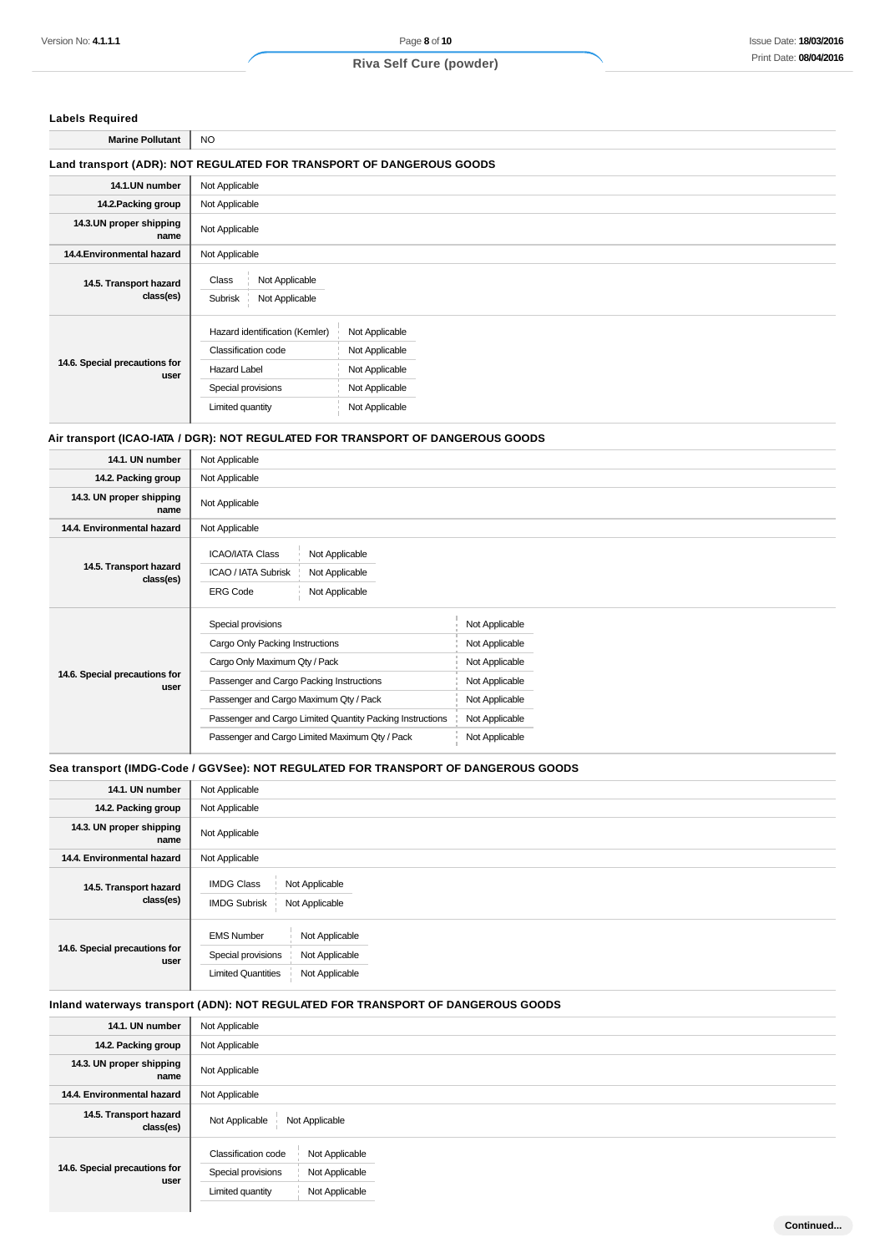### **Labels Required**

**Marine Pollutant** NO

## **Land transport (ADR): NOT REGULATED FOR TRANSPORT OF DANGEROUS GOODS**

| Not Applicable                                                                                                                |                                                                                        |  |  |  |
|-------------------------------------------------------------------------------------------------------------------------------|----------------------------------------------------------------------------------------|--|--|--|
| Not Applicable                                                                                                                |                                                                                        |  |  |  |
| Not Applicable                                                                                                                |                                                                                        |  |  |  |
| Not Applicable                                                                                                                |                                                                                        |  |  |  |
| Not Applicable<br>Class<br>Subrisk<br>Not Applicable                                                                          |                                                                                        |  |  |  |
| Hazard identification (Kemler)<br><b>Classification code</b><br><b>Hazard Label</b><br>Special provisions<br>Limited quantity | Not Applicable<br>Not Applicable<br>Not Applicable<br>Not Applicable<br>Not Applicable |  |  |  |
|                                                                                                                               |                                                                                        |  |  |  |

#### **Air transport (ICAO-IATA / DGR): NOT REGULATED FOR TRANSPORT OF DANGEROUS GOODS**

| 14.1. UN number                       | Not Applicable                                                                                                         |                |  |  |
|---------------------------------------|------------------------------------------------------------------------------------------------------------------------|----------------|--|--|
| 14.2. Packing group                   | Not Applicable                                                                                                         |                |  |  |
| 14.3. UN proper shipping<br>name      | Not Applicable                                                                                                         |                |  |  |
| 14.4. Environmental hazard            | Not Applicable                                                                                                         |                |  |  |
| 14.5. Transport hazard<br>class(es)   | <b>ICAO/IATA Class</b><br>Not Applicable<br>ICAO / IATA Subrisk<br>Not Applicable<br><b>ERG Code</b><br>Not Applicable |                |  |  |
|                                       | Special provisions                                                                                                     | Not Applicable |  |  |
|                                       | Cargo Only Packing Instructions                                                                                        | Not Applicable |  |  |
|                                       | Cargo Only Maximum Qty / Pack                                                                                          | Not Applicable |  |  |
| 14.6. Special precautions for<br>user | Passenger and Cargo Packing Instructions                                                                               | Not Applicable |  |  |
|                                       | Passenger and Cargo Maximum Qty / Pack                                                                                 | Not Applicable |  |  |
|                                       | Passenger and Cargo Limited Quantity Packing Instructions                                                              | Not Applicable |  |  |
|                                       | Passenger and Cargo Limited Maximum Qty / Pack                                                                         | Not Applicable |  |  |

### **Sea transport (IMDG-Code / GGVSee): NOT REGULATED FOR TRANSPORT OF DANGEROUS GOODS**

| 14.1. UN number                       | Not Applicable                                                                                                             |
|---------------------------------------|----------------------------------------------------------------------------------------------------------------------------|
| 14.2. Packing group                   | Not Applicable                                                                                                             |
| 14.3. UN proper shipping<br>name      | Not Applicable                                                                                                             |
| 14.4. Environmental hazard            | Not Applicable                                                                                                             |
| 14.5. Transport hazard<br>class(es)   | <b>IMDG Class</b><br>Not Applicable<br><b>IMDG Subrisk</b><br>Not Applicable                                               |
| 14.6. Special precautions for<br>user | <b>EMS Number</b><br>Not Applicable<br>Special provisions<br>Not Applicable<br>Not Applicable<br><b>Limited Quantities</b> |

# **Inland waterways transport (ADN): NOT REGULATED FOR TRANSPORT OF DANGEROUS GOODS**

| 14.1. UN number                       | Not Applicable                                                                                                      |
|---------------------------------------|---------------------------------------------------------------------------------------------------------------------|
| 14.2. Packing group                   | Not Applicable                                                                                                      |
| 14.3. UN proper shipping<br>name      | Not Applicable                                                                                                      |
| 14.4. Environmental hazard            | Not Applicable                                                                                                      |
| 14.5. Transport hazard<br>class(es)   | Not Applicable<br>Not Applicable                                                                                    |
| 14.6. Special precautions for<br>user | Classification code<br>Not Applicable<br>Special provisions<br>Not Applicable<br>Not Applicable<br>Limited quantity |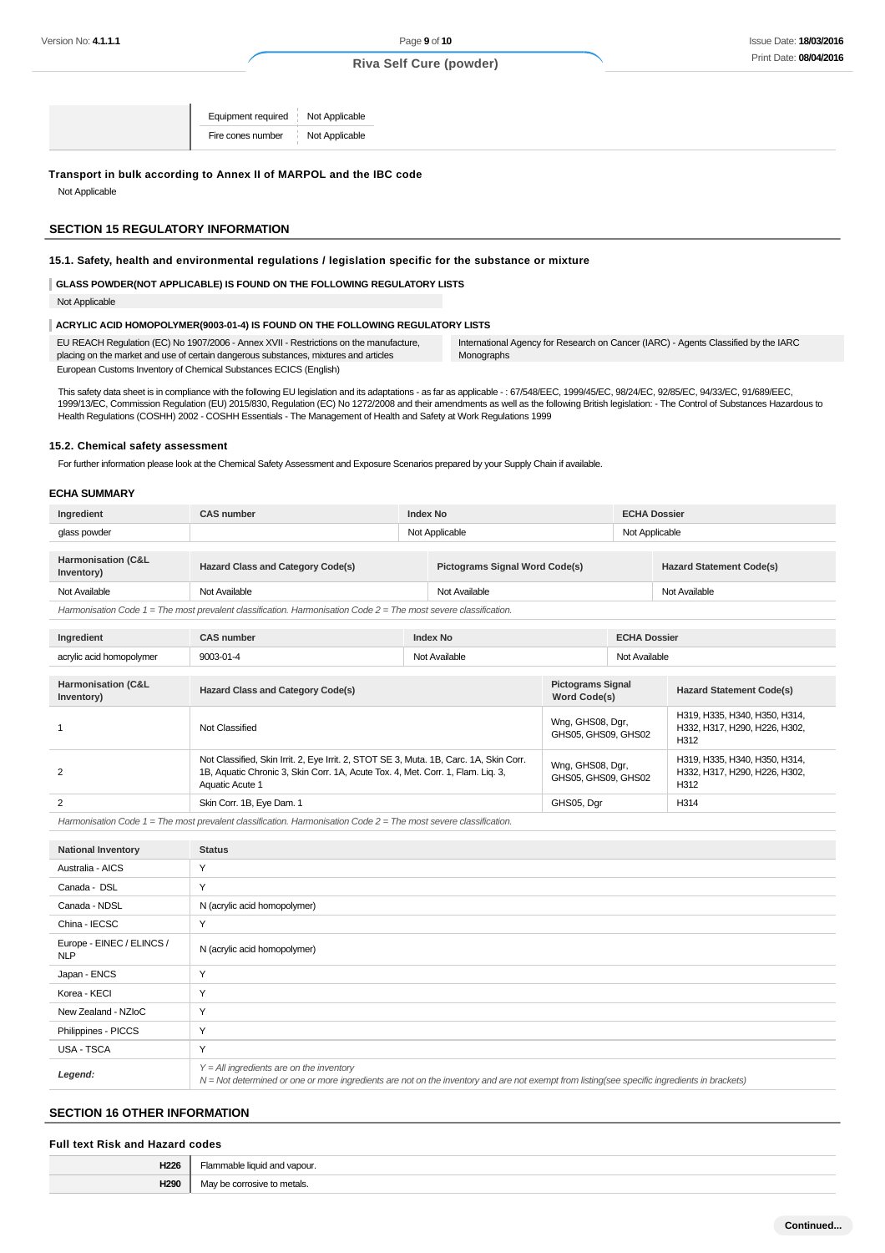Equipment required Not Applicable Fire cones number Not Applicable

#### **Transport in bulk according to Annex II of MARPOL and the IBC code**

Not Applicable

#### **SECTION 15 REGULATORY INFORMATION**

## **15.1. Safety, health and environmental regulations / legislation specific for the substance or mixture**

**GLASS POWDER(NOT APPLICABLE) IS FOUND ON THE FOLLOWING REGULATORY LISTS**

Not Applicable

#### **ACRYLIC ACID HOMOPOLYMER(9003-01-4) IS FOUND ON THE FOLLOWING REGULATORY LISTS**

| EU REACH Requiation (EC) No 1907/2006 - Annex XVII - Restrictions on the manufacture, | International Agency for Research on Cancer (IARC) - Agents Classified by the IARC |
|---------------------------------------------------------------------------------------|------------------------------------------------------------------------------------|
| placing on the market and use of certain dangerous substances, mixtures and articles  | Monographs                                                                         |
| European Customs Inventory of Chemical Substances ECICS (English)                     |                                                                                    |

This safety data sheet is in compliance with the following EU legislation and its adaptations - as far as applicable -: 67/548/EEC, 1999/45/EC, 98/24/EC, 92/85/EC, 94/33/EC, 91/689/EEC, 1999/13/EC, Commission Regulation (EU) 2015/830, Regulation (EC) No 1272/2008 and their amendments as well as the following British legislation: - The Control of Substances Hazardous to Health Regulations (COSHH) 2002 - COSHH Essentials - The Management of Health and Safety at Work Regulations 1999

#### **15.2. Chemical safety assessment**

For further information please look at the Chemical Safety Assessment and Exposure Scenarios prepared by your Supply Chain if available.

#### **ECHA SUMMARY**

| Ingredient                                                                                                           | <b>CAS number</b>                        | <b>Index No</b> |                                       | <b>ECHA Dossier</b> |                                 |  |
|----------------------------------------------------------------------------------------------------------------------|------------------------------------------|-----------------|---------------------------------------|---------------------|---------------------------------|--|
| glass powder                                                                                                         |                                          | Not Applicable  |                                       |                     | Not Applicable                  |  |
|                                                                                                                      |                                          |                 |                                       |                     |                                 |  |
| Harmonisation (C&L<br>Inventory)                                                                                     | <b>Hazard Class and Category Code(s)</b> |                 | <b>Pictograms Signal Word Code(s)</b> |                     | <b>Hazard Statement Code(s)</b> |  |
| Not Available                                                                                                        | Not Available                            |                 | Not Available                         |                     | Not Available                   |  |
| Harmonisation Code $1 =$ The most prevalent classification. Harmonisation Code $2 =$ The most severe classification. |                                          |                 |                                       |                     |                                 |  |

| Ingredient                                  | <b>CAS number</b>                                                                                                                                                                            | <b>Index No</b> |                                                 | <b>ECHA Dossier</b> |                                                                        |
|---------------------------------------------|----------------------------------------------------------------------------------------------------------------------------------------------------------------------------------------------|-----------------|-------------------------------------------------|---------------------|------------------------------------------------------------------------|
| acrylic acid homopolymer                    | Not Available<br>9003-01-4                                                                                                                                                                   |                 |                                                 | Not Available       |                                                                        |
| <b>Harmonisation (C&amp;L</b><br>Inventory) | <b>Hazard Class and Category Code(s)</b>                                                                                                                                                     |                 | <b>Pictograms Signal</b><br><b>Word Code(s)</b> |                     | <b>Hazard Statement Code(s)</b>                                        |
|                                             | Not Classified                                                                                                                                                                               |                 | Wng, GHS08, Dgr,<br>GHS05, GHS09, GHS02         |                     | H319, H335, H340, H350, H314,<br>H332, H317, H290, H226, H302.<br>H312 |
| 2                                           | Not Classified, Skin Irrit. 2, Eye Irrit. 2, STOT SE 3, Muta. 1B, Carc. 1A, Skin Corr.<br>1B, Aquatic Chronic 3, Skin Corr. 1A, Acute Tox. 4, Met. Corr. 1, Flam. Liq. 3,<br>Aquatic Acute 1 |                 | Wng, GHS08, Dgr,<br>GHS05, GHS09, GHS02         |                     | H319, H335, H340, H350, H314,<br>H332, H317, H290, H226, H302,<br>H312 |
| 2                                           | Skin Corr. 1B, Eye Dam. 1                                                                                                                                                                    |                 | GHS05, Dgr                                      |                     | H314                                                                   |

Harmonisation Code  $1 =$  The most prevalent classification. Harmonisation Code  $2 =$  The most severe classification.

| <b>National Inventory</b>               | <b>Status</b>                                                                                                                                                                              |
|-----------------------------------------|--------------------------------------------------------------------------------------------------------------------------------------------------------------------------------------------|
| Australia - AICS                        | Y                                                                                                                                                                                          |
| Canada - DSL                            | Y                                                                                                                                                                                          |
| Canada - NDSL                           | N (acrylic acid homopolymer)                                                                                                                                                               |
| China - IECSC                           | Υ                                                                                                                                                                                          |
| Europe - EINEC / ELINCS /<br><b>NLP</b> | N (acrylic acid homopolymer)                                                                                                                                                               |
| Japan - ENCS                            | Y                                                                                                                                                                                          |
| Korea - KECI                            | Y                                                                                                                                                                                          |
| New Zealand - NZIoC                     | Y                                                                                                                                                                                          |
| Philippines - PICCS                     | Y                                                                                                                                                                                          |
| USA - TSCA                              | Y                                                                                                                                                                                          |
| Legend:                                 | $Y = All$ ingredients are on the inventory<br>N = Not determined or one or more ingredients are not on the inventory and are not exempt from listing(see specific ingredients in brackets) |

#### **SECTION 16 OTHER INFORMATION**

#### **Full text Risk and Hazard codes**

| Linne       |     |
|-------------|-----|
| <b>NOCL</b> | הור |